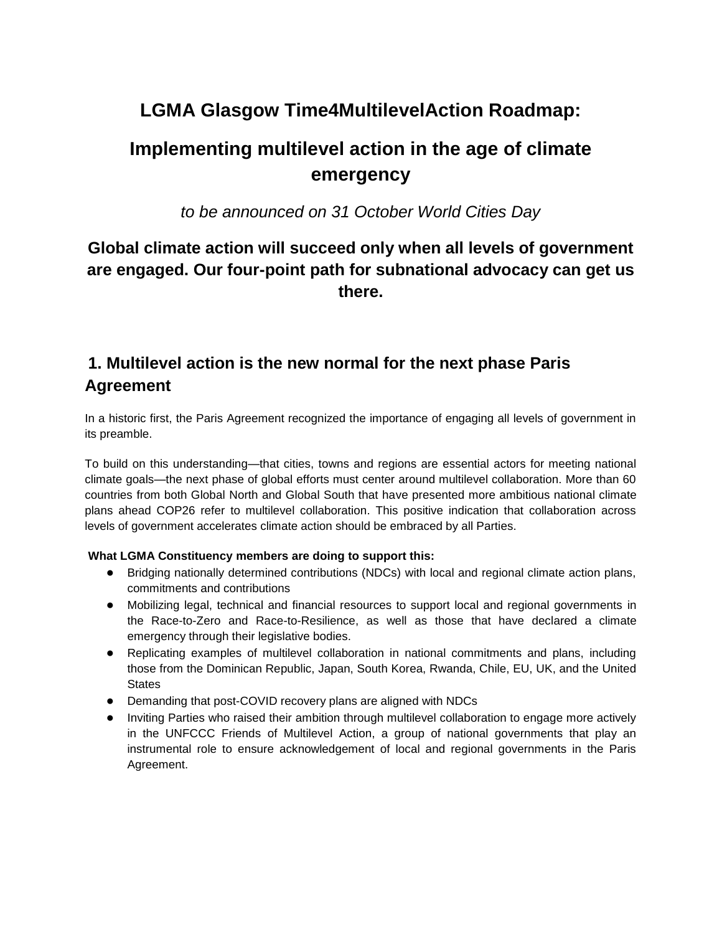# **LGMA Glasgow Time4MultilevelAction Roadmap:**

# **Implementing multilevel action in the age of climate emergency**

*to be announced on 31 October World Cities Day*

### **Global climate action will succeed only when all levels of government are engaged. Our four-point path for subnational advocacy can get us there.**

## **1. Multilevel action is the new normal for the next phase Paris Agreement**

In a historic first, the Paris Agreement recognized the importance of engaging all levels of government in its preamble.

To build on this understanding—that cities, towns and regions are essential actors for meeting national climate goals—the next phase of global efforts must center around multilevel collaboration. More than 60 countries from both Global North and Global South that have presented more ambitious national climate plans ahead COP26 refer to multilevel collaboration. This positive indication that collaboration across levels of government accelerates climate action should be embraced by all Parties.

#### **What LGMA Constituency members are doing to support this:**

- Bridging nationally determined contributions (NDCs) with local and regional climate action plans, commitments and contributions
- Mobilizing legal, technical and financial resources to support local and regional governments in the Race-to-Zero and Race-to-Resilience, as well as those that have declared a climate emergency through their legislative bodies.
- Replicating examples of multilevel collaboration in national commitments and plans, including those from the Dominican Republic, Japan, South Korea, Rwanda, Chile, EU, UK, and the United **States**
- Demanding that post-COVID recovery plans are aligned with NDCs
- Inviting Parties who raised their ambition through multilevel collaboration to engage more actively in the UNFCCC Friends of Multilevel Action, a group of national governments that play an instrumental role to ensure acknowledgement of local and regional governments in the Paris Agreement.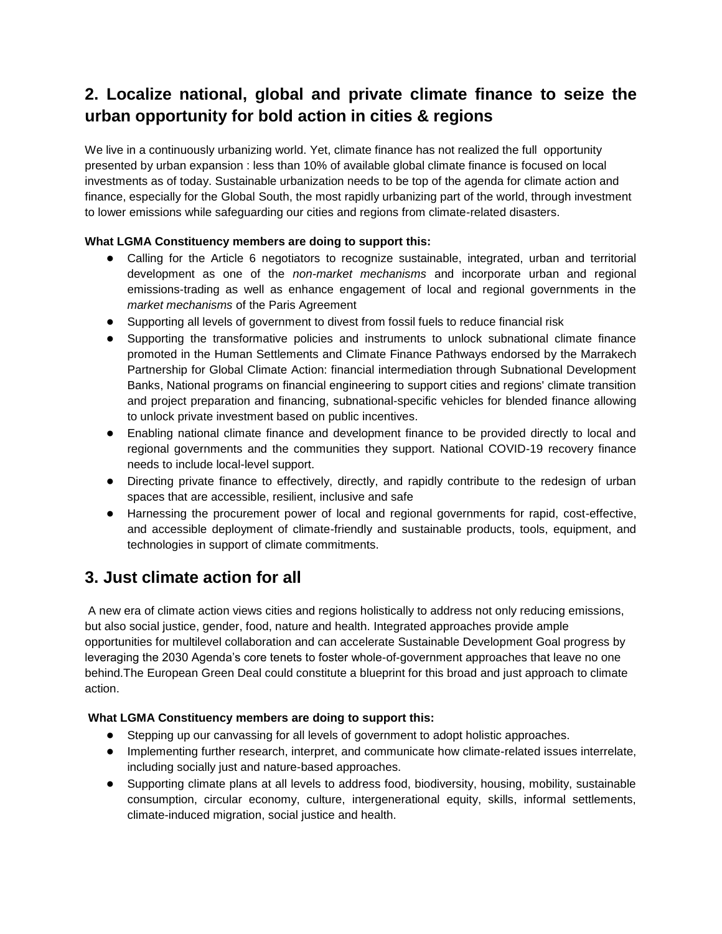## **2. Localize national, global and private climate finance to seize the urban opportunity for bold action in cities & regions**

We live in a continuously urbanizing world. Yet, climate finance has not realized the full opportunity presented by urban expansion : less than 10% of available global climate finance is focused on local investments as of today. Sustainable urbanization needs to be top of the agenda for climate action and finance, especially for the Global South, the most rapidly urbanizing part of the world, through investment to lower emissions while safeguarding our cities and regions from climate-related disasters.

#### **What LGMA Constituency members are doing to support this:**

- Calling for the Article 6 negotiators to recognize sustainable, integrated, urban and territorial development as one of the *non-market mechanisms* and incorporate urban and regional emissions-trading as well as enhance engagement of local and regional governments in the *market mechanisms* of the Paris Agreement
- Supporting all levels of government to divest from fossil fuels to reduce financial risk
- Supporting the transformative policies and instruments to unlock subnational climate finance promoted in the Human Settlements and Climate Finance Pathways endorsed by the Marrakech Partnership for Global Climate Action: financial intermediation through Subnational Development Banks, National programs on financial engineering to support cities and regions' climate transition and project preparation and financing, subnational-specific vehicles for blended finance allowing to unlock private investment based on public incentives.
- Enabling national climate finance and development finance to be provided directly to local and regional governments and the communities they support. National COVID-19 recovery finance needs to include local-level support.
- Directing private finance to effectively, directly, and rapidly contribute to the redesign of urban spaces that are accessible, resilient, inclusive and safe
- Harnessing the procurement power of local and regional governments for rapid, cost-effective, and accessible deployment of climate-friendly and sustainable products, tools, equipment, and technologies in support of climate commitments.

### **3. Just climate action for all**

A new era of climate action views cities and regions holistically to address not only reducing emissions, but also social justice, gender, food, nature and health. Integrated approaches provide ample opportunities for multilevel collaboration and can accelerate Sustainable Development Goal progress by leveraging the 2030 Agenda's core tenets to foster whole-of-government approaches that leave no one behind.The European Green Deal could constitute a blueprint for this broad and just approach to climate action.

#### **What LGMA Constituency members are doing to support this:**

- Stepping up our canvassing for all levels of government to adopt holistic approaches.
- Implementing further research, interpret, and communicate how climate-related issues interrelate, including socially just and nature-based approaches.
- Supporting climate plans at all levels to address food, biodiversity, housing, mobility, sustainable consumption, circular economy, culture, intergenerational equity, skills, informal settlements, climate-induced migration, social justice and health.